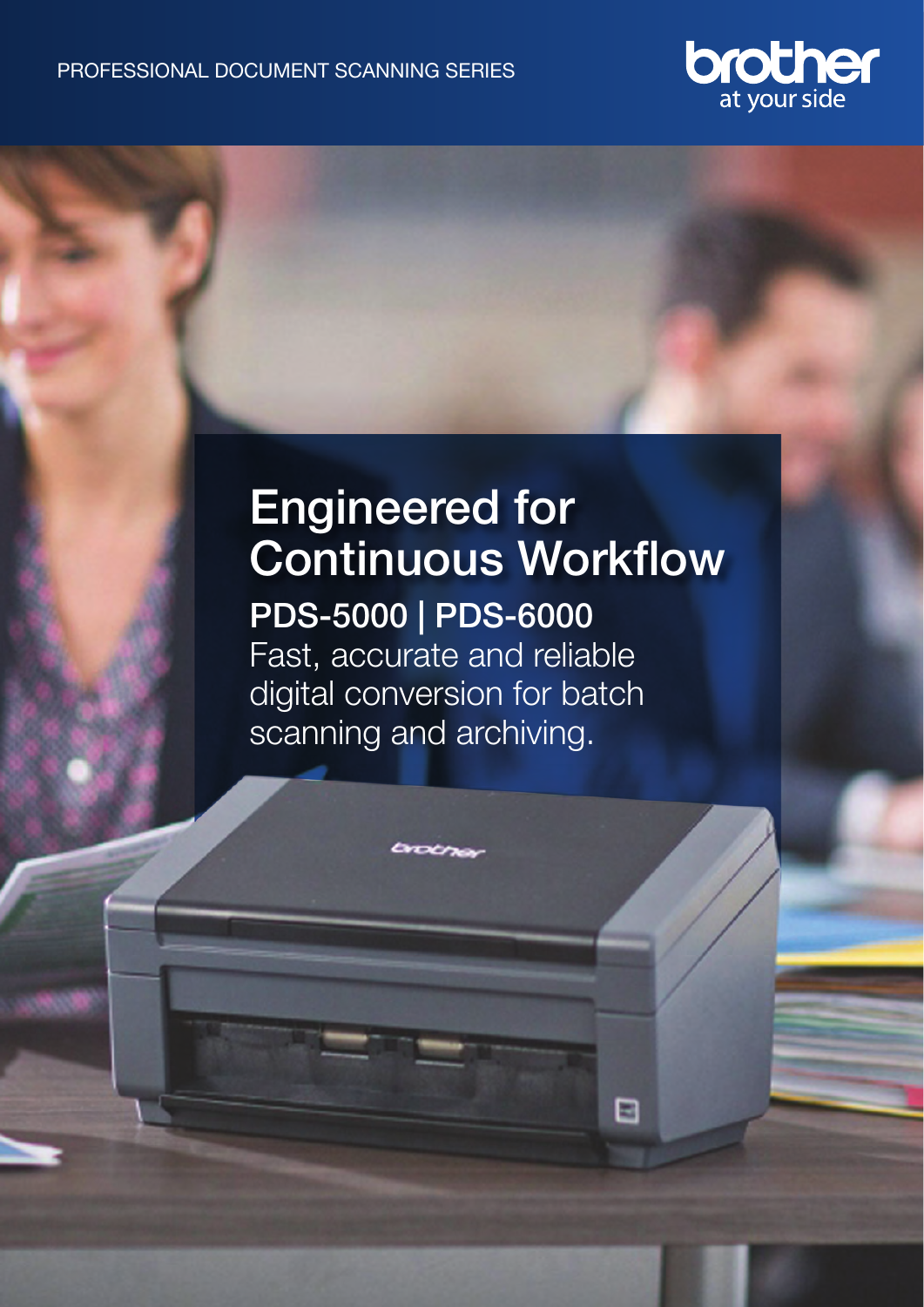

# Engineered for Continuous Workflow PDS-5000 | PDS-6000 Fast, accurate and reliable digital conversion for batch scanning and archiving.

⊟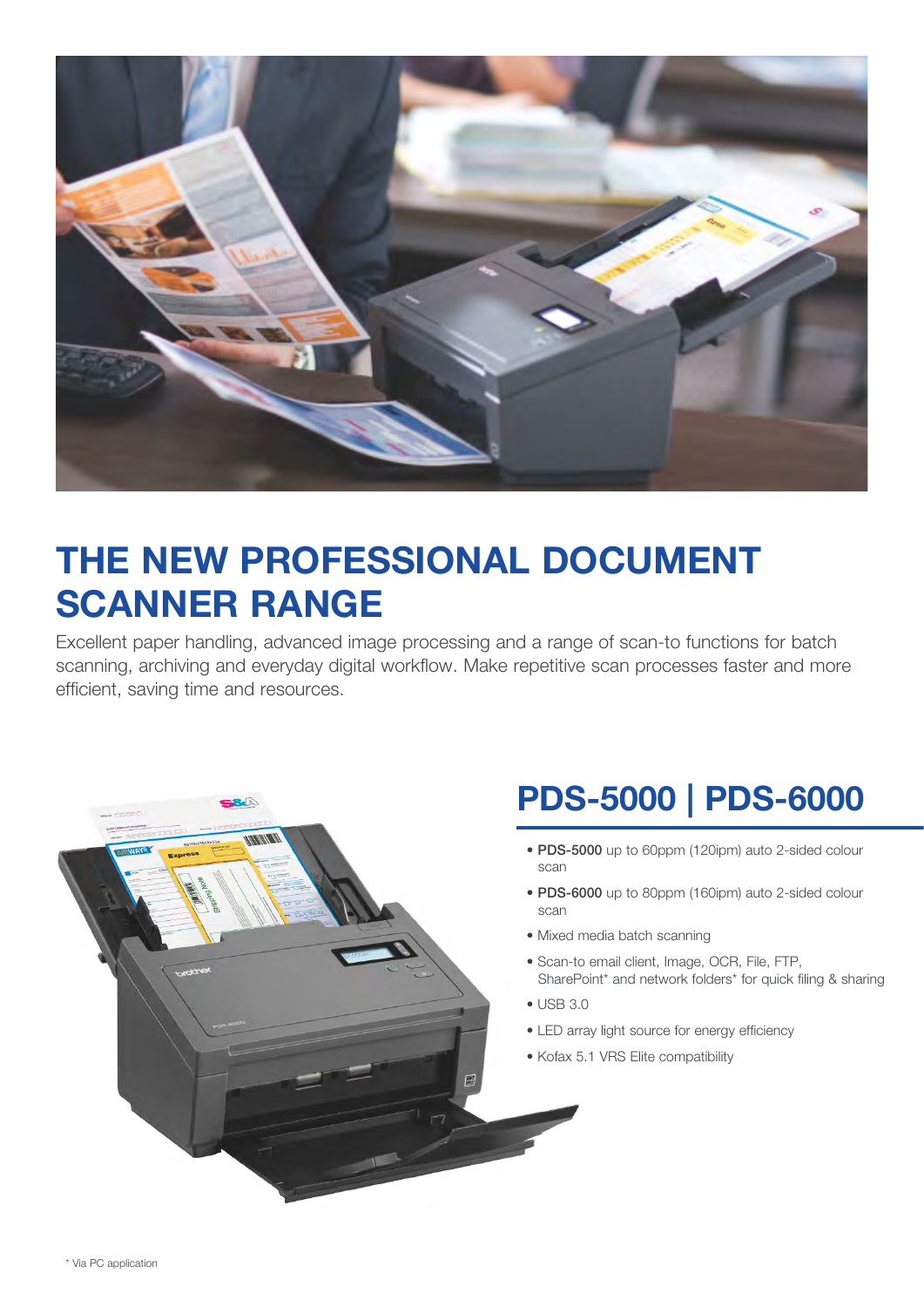

## THE NEW PROFESSIONAL DOCUMENT SCANNER RANGE

Excellent paper handling, advanced image processing and a range of scan-to functions for batch scanning, archiving and everyday digital workflow. Make repetitive scan processes faster and more efficient, saving time and resources.

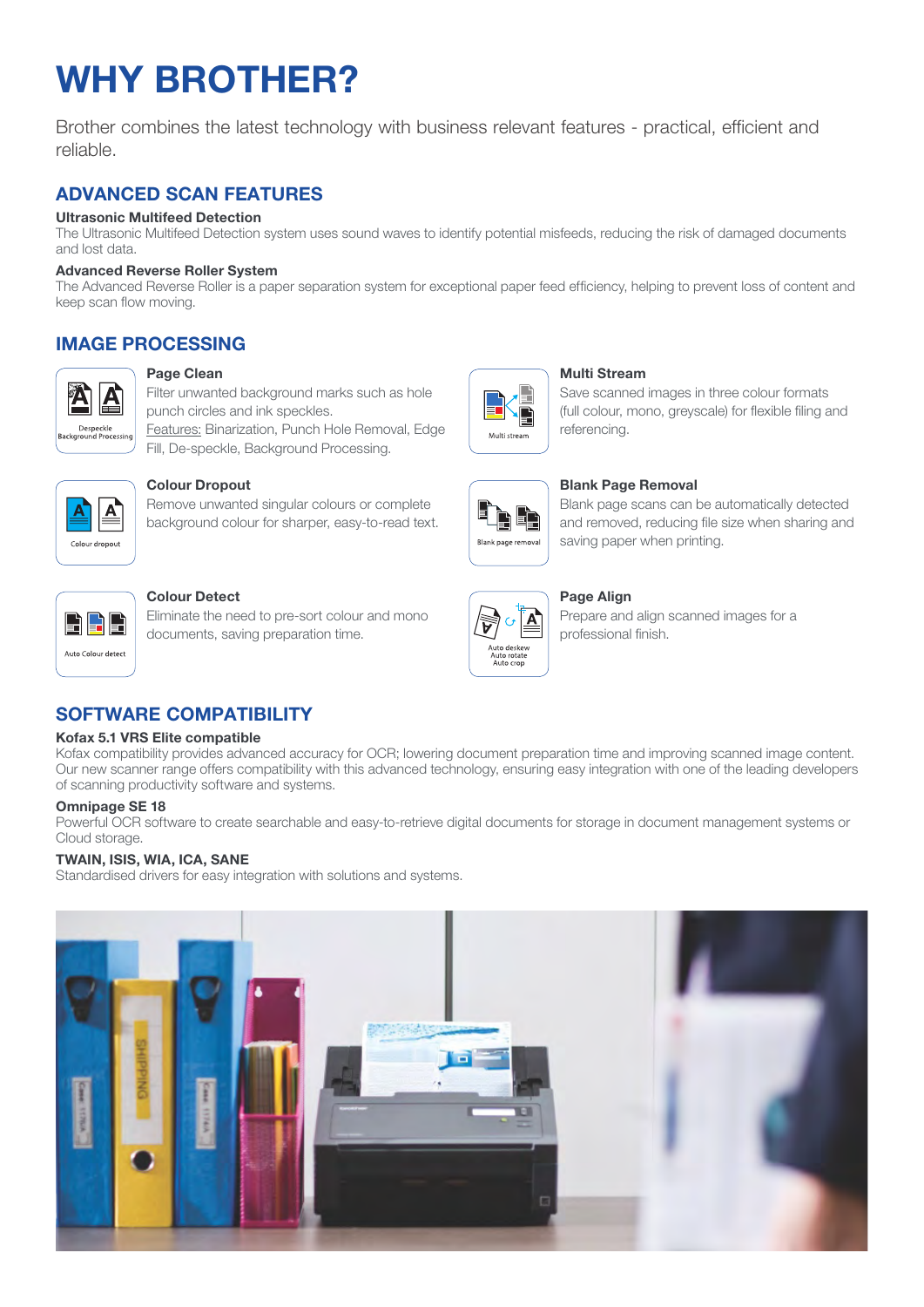# WHY BROTHER?

Brother combines the latest technology with business relevant features - practical, efficient and reliable.

## ADVANCED SCAN FEATURES

### Ultrasonic Multifeed Detection

The Ultrasonic Multifeed Detection system uses sound waves to identify potential misfeeds, reducing the risk of damaged documents and lost data.

#### Advanced Reverse Roller System

The Advanced Reverse Roller is a paper separation system for exceptional paper feed efficiency, helping to prevent loss of content and keep scan flow moving.

## IMAGE PROCESSING



#### Page Clean

punch circles and ink speckles. Features: Binarization, Punch Hole Removal, Edge Fill, De-speckle, Background Processing.

Filter unwanted background marks such as hole



#### Colour Dropout

Remove unwanted singular colours or complete background colour for sharper, easy-to-read text.



#### Colour Detect

Eliminate the need to pre-sort colour and mono documents, saving preparation time.



#### Multi Stream

Save scanned images in three colour formats (full colour, mono, greyscale) for flexible filing and referencing.



#### Blank Page Removal

Blank page scans can be automatically detected and removed, reducing file size when sharing and saving paper when printing.



#### Page Align

Prepare and align scanned images for a professional finish.

## SOFTWARE COMPATIBILITY

#### Kofax 5.1 VRS Elite compatible

Kofax compatibility provides advanced accuracy for OCR; lowering document preparation time and improving scanned image content. Our new scanner range offers compatibility with this advanced technology, ensuring easy integration with one of the leading developers of scanning productivity software and systems.

#### Omnipage SE 18

Powerful OCR software to create searchable and easy-to-retrieve digital documents for storage in document management systems or Cloud storage.

#### TWAIN, ISIS, WIA, ICA, SANE

Standardised drivers for easy integration with solutions and systems.